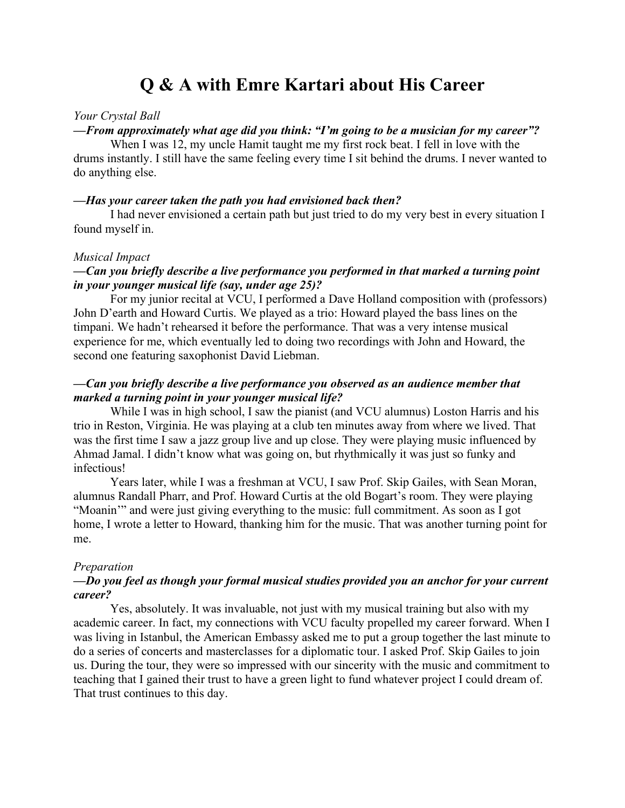# **Q & A with Emre Kartari about His Career**

#### *Your Crystal Ball*

## *—From approximately what age did you think: "I'm going to be a musician for my career"?*

When I was 12, my uncle Hamit taught me my first rock beat. I fell in love with the drums instantly. I still have the same feeling every time I sit behind the drums. I never wanted to do anything else.

#### *—Has your career taken the path you had envisioned back then?*

I had never envisioned a certain path but just tried to do my very best in every situation I found myself in.

#### *Musical Impact*

# *—Can you briefly describe a live performance you performed in that marked a turning point in your younger musical life (say, under age 25)?*

For my junior recital at VCU, I performed a Dave Holland composition with (professors) John D'earth and Howard Curtis. We played as a trio: Howard played the bass lines on the timpani. We hadn't rehearsed it before the performance. That was a very intense musical experience for me, which eventually led to doing two recordings with John and Howard, the second one featuring saxophonist David Liebman.

# *—Can you briefly describe a live performance you observed as an audience member that marked a turning point in your younger musical life?*

While I was in high school, I saw the pianist (and VCU alumnus) Loston Harris and his trio in Reston, Virginia. He was playing at a club ten minutes away from where we lived. That was the first time I saw a jazz group live and up close. They were playing music influenced by Ahmad Jamal. I didn't know what was going on, but rhythmically it was just so funky and infectious!

Years later, while I was a freshman at VCU, I saw Prof. Skip Gailes, with Sean Moran, alumnus Randall Pharr, and Prof. Howard Curtis at the old Bogart's room. They were playing "Moanin'" and were just giving everything to the music: full commitment. As soon as I got home, I wrote a letter to Howard, thanking him for the music. That was another turning point for me.

#### *Preparation*

## *—Do you feel as though your formal musical studies provided you an anchor for your current career?*

Yes, absolutely. It was invaluable, not just with my musical training but also with my academic career. In fact, my connections with VCU faculty propelled my career forward. When I was living in Istanbul, the American Embassy asked me to put a group together the last minute to do a series of concerts and masterclasses for a diplomatic tour. I asked Prof. Skip Gailes to join us. During the tour, they were so impressed with our sincerity with the music and commitment to teaching that I gained their trust to have a green light to fund whatever project I could dream of. That trust continues to this day.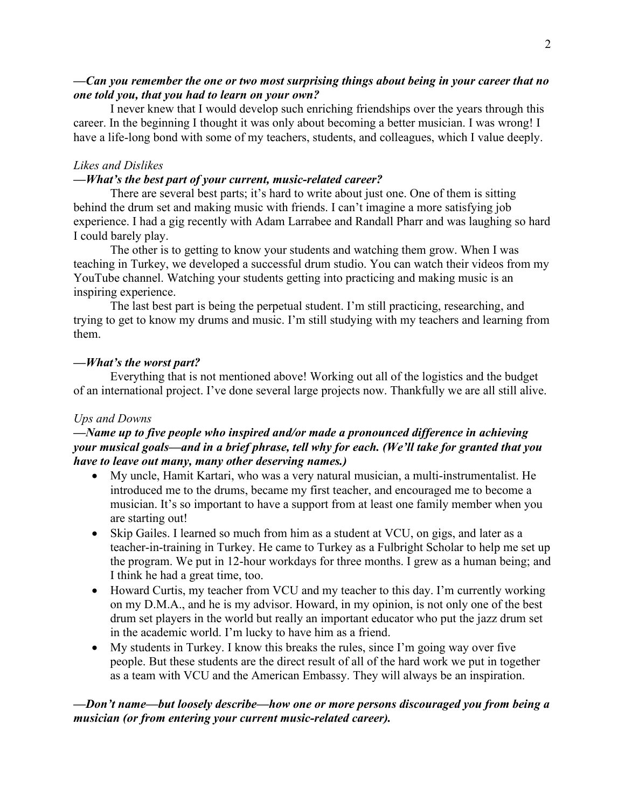# *—Can you remember the one or two most surprising things about being in your career that no one told you, that you had to learn on your own?*

I never knew that I would develop such enriching friendships over the years through this career. In the beginning I thought it was only about becoming a better musician. I was wrong! I have a life-long bond with some of my teachers, students, and colleagues, which I value deeply.

## *Likes and Dislikes*

## *—What's the best part of your current, music-related career?*

There are several best parts; it's hard to write about just one. One of them is sitting behind the drum set and making music with friends. I can't imagine a more satisfying job experience. I had a gig recently with Adam Larrabee and Randall Pharr and was laughing so hard I could barely play.

The other is to getting to know your students and watching them grow. When I was teaching in Turkey, we developed a successful drum studio. You can watch their videos from my YouTube channel. Watching your students getting into practicing and making music is an inspiring experience.

The last best part is being the perpetual student. I'm still practicing, researching, and trying to get to know my drums and music. I'm still studying with my teachers and learning from them.

#### *—What's the worst part?*

Everything that is not mentioned above! Working out all of the logistics and the budget of an international project. I've done several large projects now. Thankfully we are all still alive.

#### *Ups and Downs*

# *—Name up to five people who inspired and/or made a pronounced difference in achieving your musical goals—and in a brief phrase, tell why for each. (We'll take for granted that you have to leave out many, many other deserving names.)*

- My uncle, Hamit Kartari, who was a very natural musician, a multi-instrumentalist. He introduced me to the drums, became my first teacher, and encouraged me to become a musician. It's so important to have a support from at least one family member when you are starting out!
- Skip Gailes. I learned so much from him as a student at VCU, on gigs, and later as a teacher-in-training in Turkey. He came to Turkey as a Fulbright Scholar to help me set up the program. We put in 12-hour workdays for three months. I grew as a human being; and I think he had a great time, too.
- Howard Curtis, my teacher from VCU and my teacher to this day. I'm currently working on my D.M.A., and he is my advisor. Howard, in my opinion, is not only one of the best drum set players in the world but really an important educator who put the jazz drum set in the academic world. I'm lucky to have him as a friend.
- My students in Turkey. I know this breaks the rules, since I'm going way over five people. But these students are the direct result of all of the hard work we put in together as a team with VCU and the American Embassy. They will always be an inspiration.

# *—Don't name—but loosely describe—how one or more persons discouraged you from being a musician (or from entering your current music-related career).*